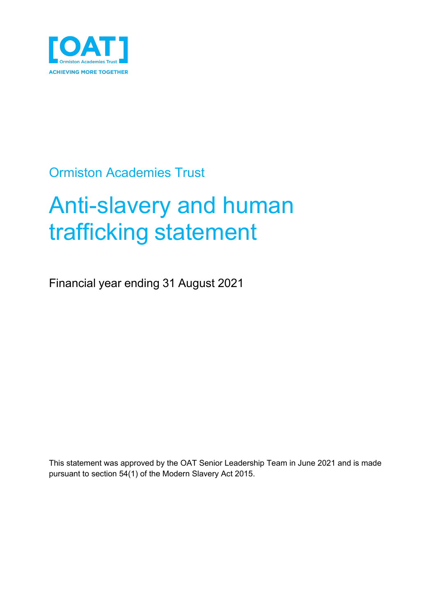

# Ormiston Academies Trust

# Anti-slavery and human trafficking statement

Financial year ending 31 August 2021

This statement was approved by the OAT Senior Leadership Team in June 2021 and is made pursuant to section 54(1) of the Modern Slavery Act 2015.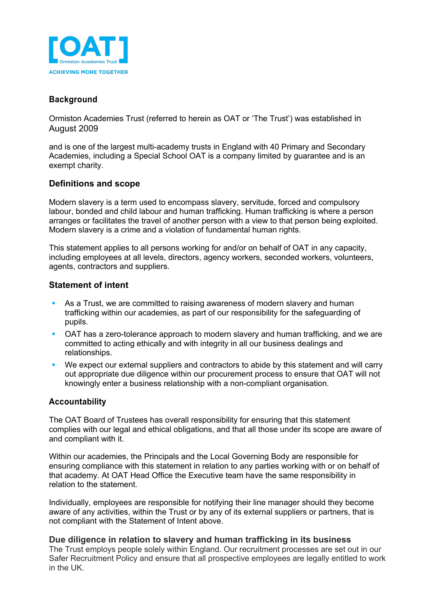

# **Background**

Ormiston Academies Trust (referred to herein as OAT or 'The Trust') was established in August 2009

and is one of the largest multi-academy trusts in England with 40 Primary and Secondary Academies, including a Special School OAT is a company limited by guarantee and is an exempt charity.

## **Definitions and scope**

Modern slavery is a term used to encompass slavery, servitude, forced and compulsory labour, bonded and child labour and human trafficking. Human trafficking is where a person arranges or facilitates the travel of another person with a view to that person being exploited. Modern slavery is a crime and a violation of fundamental human rights.

This statement applies to all persons working for and/or on behalf of OAT in any capacity, including employees at all levels, directors, agency workers, seconded workers, volunteers, agents, contractors and suppliers.

## **Statement of intent**

- As a Trust, we are committed to raising awareness of modern slavery and human trafficking within our academies, as part of our responsibility for the safeguarding of pupils.
- § OAT has a zero-tolerance approach to modern slavery and human trafficking, and we are committed to acting ethically and with integrity in all our business dealings and relationships.
- We expect our external suppliers and contractors to abide by this statement and will carry out appropriate due diligence within our procurement process to ensure that OAT will not knowingly enter a business relationship with a non-compliant organisation.

# **Accountability**

The OAT Board of Trustees has overall responsibility for ensuring that this statement complies with our legal and ethical obligations, and that all those under its scope are aware of and compliant with it.

Within our academies, the Principals and the Local Governing Body are responsible for ensuring compliance with this statement in relation to any parties working with or on behalf of that academy. At OAT Head Office the Executive team have the same responsibility in relation to the statement.

Individually, employees are responsible for notifying their line manager should they become aware of any activities, within the Trust or by any of its external suppliers or partners, that is not compliant with the Statement of Intent above.

#### **Due diligence in relation to slavery and human trafficking in its business**

The Trust employs people solely within England. Our recruitment processes are set out in our Safer Recruitment Policy and ensure that all prospective employees are legally entitled to work in the UK.